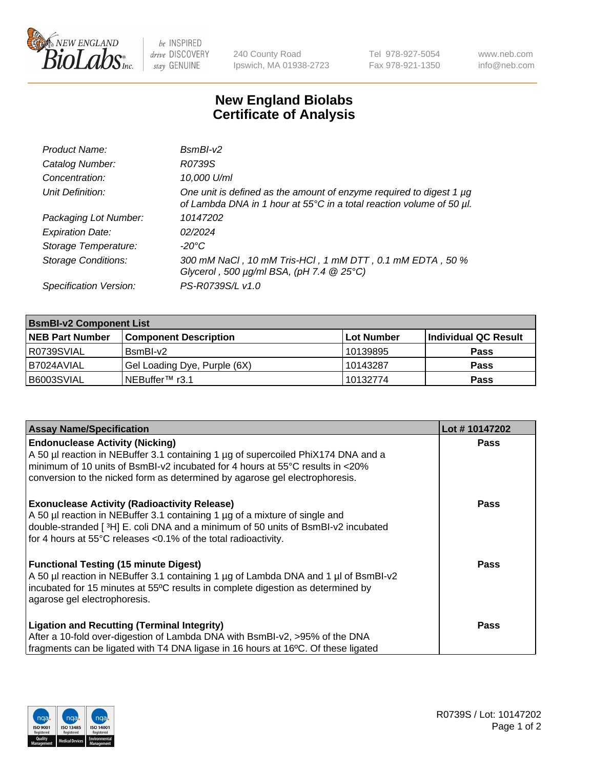

 $be$  INSPIRED drive DISCOVERY stay GENUINE

240 County Road Ipswich, MA 01938-2723 Tel 978-927-5054 Fax 978-921-1350 www.neb.com info@neb.com

## **New England Biolabs Certificate of Analysis**

| Product Name:              | $BsmBI-v2$                                                                                                                                  |
|----------------------------|---------------------------------------------------------------------------------------------------------------------------------------------|
| Catalog Number:            | R0739S                                                                                                                                      |
| Concentration:             | 10,000 U/ml                                                                                                                                 |
| Unit Definition:           | One unit is defined as the amount of enzyme required to digest 1 µg<br>of Lambda DNA in 1 hour at 55°C in a total reaction volume of 50 µl. |
| Packaging Lot Number:      | 10147202                                                                                                                                    |
| <b>Expiration Date:</b>    | 02/2024                                                                                                                                     |
| Storage Temperature:       | $-20^{\circ}$ C                                                                                                                             |
| <b>Storage Conditions:</b> | 300 mM NaCl, 10 mM Tris-HCl, 1 mM DTT, 0.1 mM EDTA, 50 %<br>Glycerol, 500 $\mu$ g/ml BSA, (pH 7.4 $@25°C$ )                                 |
| Specification Version:     | PS-R0739S/L v1.0                                                                                                                            |

| <b>BsmBI-v2 Component List</b> |                              |                   |                      |  |  |
|--------------------------------|------------------------------|-------------------|----------------------|--|--|
| <b>NEB Part Number</b>         | <b>Component Description</b> | <b>Lot Number</b> | Individual QC Result |  |  |
| R0739SVIAL                     | BsmBI-v2                     | 10139895          | <b>Pass</b>          |  |  |
| I B7024AVIAL                   | Gel Loading Dye, Purple (6X) | 10143287          | <b>Pass</b>          |  |  |
| B6003SVIAL                     | NEBuffer™ r3.1               | 10132774          | <b>Pass</b>          |  |  |

| <b>Assay Name/Specification</b>                                                     | Lot #10147202 |
|-------------------------------------------------------------------------------------|---------------|
| <b>Endonuclease Activity (Nicking)</b>                                              | <b>Pass</b>   |
| A 50 µl reaction in NEBuffer 3.1 containing 1 µg of supercoiled PhiX174 DNA and a   |               |
| minimum of 10 units of BsmBI-v2 incubated for 4 hours at 55°C results in <20%       |               |
| conversion to the nicked form as determined by agarose gel electrophoresis.         |               |
| <b>Exonuclease Activity (Radioactivity Release)</b>                                 | Pass          |
| A 50 µl reaction in NEBuffer 3.1 containing 1 µg of a mixture of single and         |               |
| double-stranded [3H] E. coli DNA and a minimum of 50 units of BsmBI-v2 incubated    |               |
| for 4 hours at 55°C releases <0.1% of the total radioactivity.                      |               |
| <b>Functional Testing (15 minute Digest)</b>                                        | Pass          |
| A 50 µl reaction in NEBuffer 3.1 containing 1 µg of Lambda DNA and 1 µl of BsmBI-v2 |               |
| incubated for 15 minutes at 55°C results in complete digestion as determined by     |               |
| agarose gel electrophoresis.                                                        |               |
| <b>Ligation and Recutting (Terminal Integrity)</b>                                  | Pass          |
| After a 10-fold over-digestion of Lambda DNA with BsmBI-v2, >95% of the DNA         |               |
| fragments can be ligated with T4 DNA ligase in 16 hours at 16°C. Of these ligated   |               |